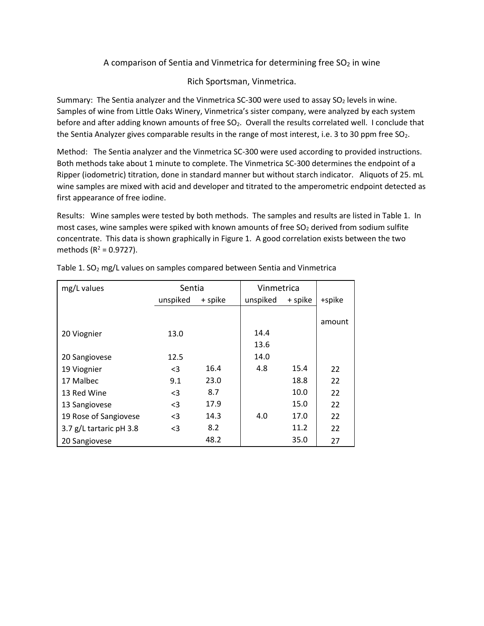## A comparison of Sentia and Vinmetrica for determining free  $SO<sub>2</sub>$  in wine

## Rich Sportsman, Vinmetrica.

Summary: The Sentia analyzer and the Vinmetrica SC-300 were used to assay SO<sub>2</sub> levels in wine. Samples of wine from Little Oaks Winery, Vinmetrica's sister company, were analyzed by each system before and after adding known amounts of free SO<sub>2</sub>. Overall the results correlated well. I conclude that the Sentia Analyzer gives comparable results in the range of most interest, i.e. 3 to 30 ppm free  $SO_2$ .

Method: The Sentia analyzer and the Vinmetrica SC-300 were used according to provided instructions. Both methods take about 1 minute to complete. The Vinmetrica SC-300 determines the endpoint of a Ripper (iodometric) titration, done in standard manner but without starch indicator. Aliquots of 25. mL wine samples are mixed with acid and developer and titrated to the amperometric endpoint detected as first appearance of free iodine.

Results: Wine samples were tested by both methods. The samples and results are listed in Table 1. In most cases, wine samples were spiked with known amounts of free  $SO<sub>2</sub>$  derived from sodium sulfite concentrate. This data is shown graphically in Figure 1. A good correlation exists between the two methods ( $R^2$  = 0.9727).

| mg/L values             | Sentia   |         | Vinmetrica |         |        |
|-------------------------|----------|---------|------------|---------|--------|
|                         | unspiked | + spike | unspiked   | + spike | +spike |
|                         |          |         |            |         |        |
|                         |          |         |            |         | amount |
| 20 Viognier             | 13.0     |         | 14.4       |         |        |
|                         |          |         | 13.6       |         |        |
| 20 Sangiovese           | 12.5     |         | 14.0       |         |        |
| 19 Viognier             | $\leq$ 3 | 16.4    | 4.8        | 15.4    | 22     |
| 17 Malbec               | 9.1      | 23.0    |            | 18.8    | 22     |
| 13 Red Wine             | $<$ 3    | 8.7     |            | 10.0    | 22     |
| 13 Sangiovese           | $3$      | 17.9    |            | 15.0    | 22     |
| 19 Rose of Sangiovese   | $<$ 3    | 14.3    | 4.0        | 17.0    | 22     |
| 3.7 g/L tartaric pH 3.8 | $3$      | 8.2     |            | 11.2    | 22     |
| 20 Sangiovese           |          | 48.2    |            | 35.0    | 27     |

Table 1.  $SO<sub>2</sub>$  mg/L values on samples compared between Sentia and Vinmetrica